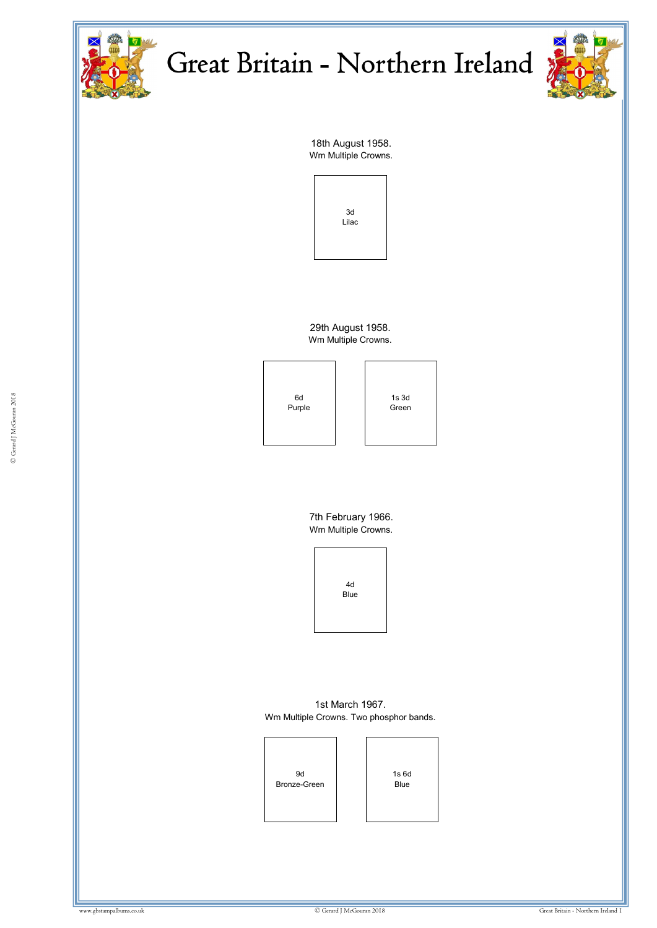



18th August 1958. Wm Multiple Crowns.



29th August 1958. Wm Multiple Crowns.



7th February 1966. Wm Multiple Crowns.



1st March 1967. Wm Multiple Crowns. Two phosphor bands.

9d Bronze-Green

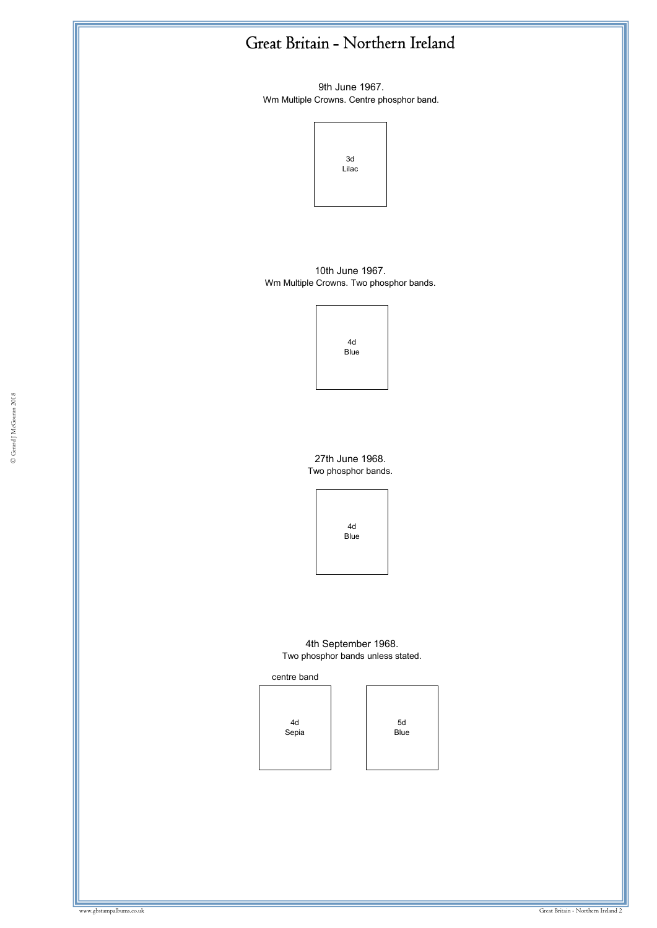9th June 1967. Wm Multiple Crowns. Centre phosphor band.



10th June 1967. Wm Multiple Crowns. Two phosphor bands.

| 4d          |  |
|-------------|--|
| <b>Blue</b> |  |

27th June 1968. Two phosphor bands.



4th September 1968. Two phosphor bands unless stated.

centre band



5d Blue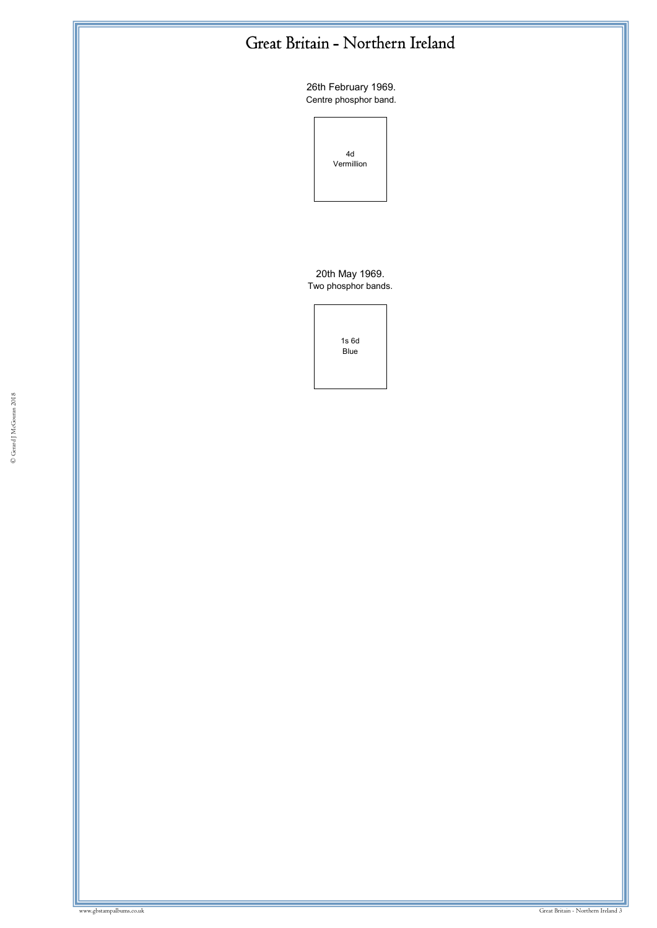26th February 1969. Centre phosphor band.



20th May 1969. Two phosphor bands.

| 1s <sub>6d</sub><br>Blue |  |
|--------------------------|--|
|                          |  |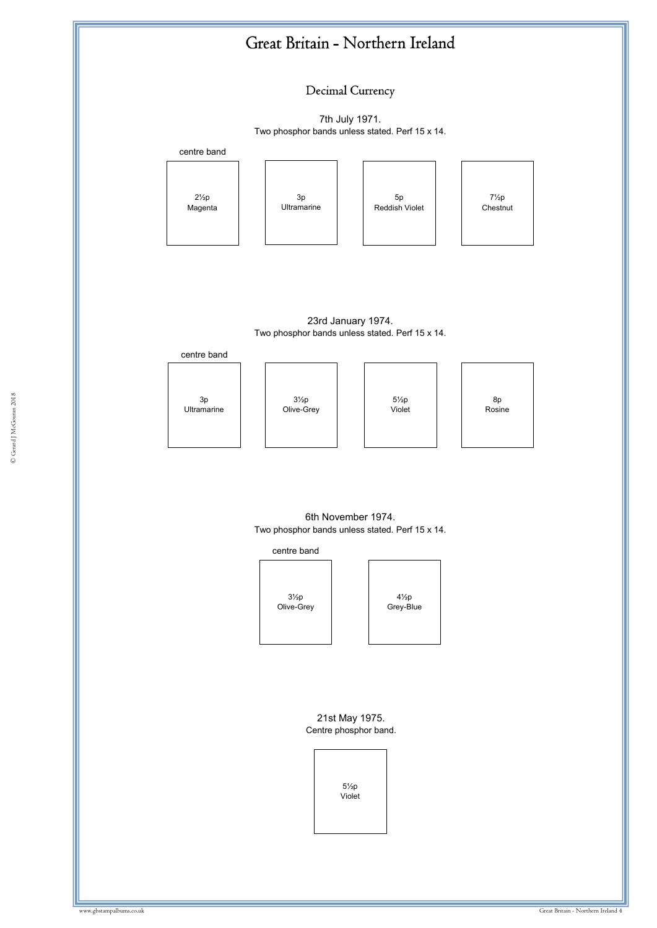

#### 6th November 1974. Two phosphor bands unless stated. Perf 15 x 14.



21st May 1975. Centre phosphor band.

> 5½p Violet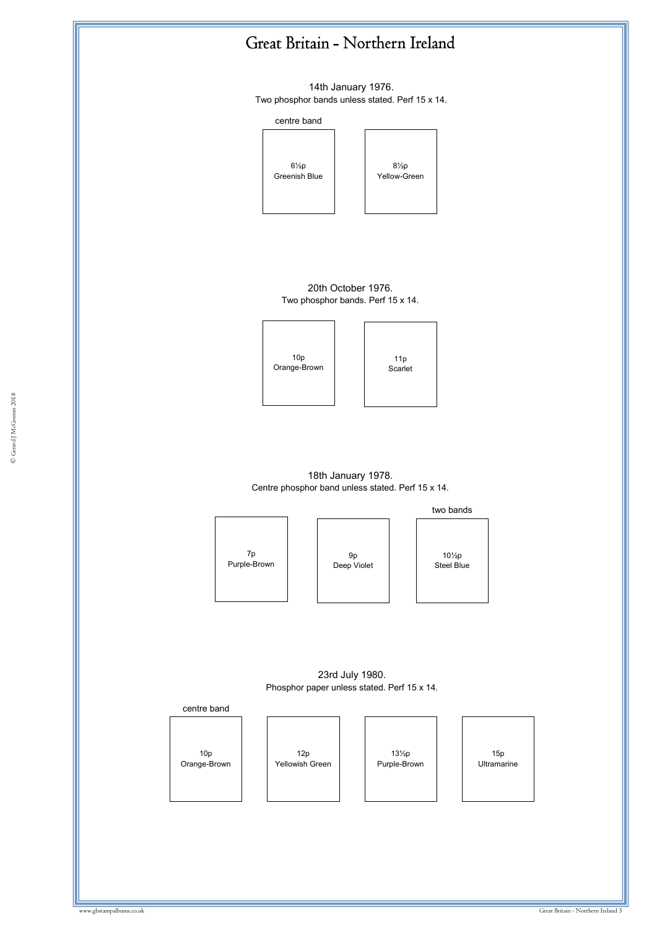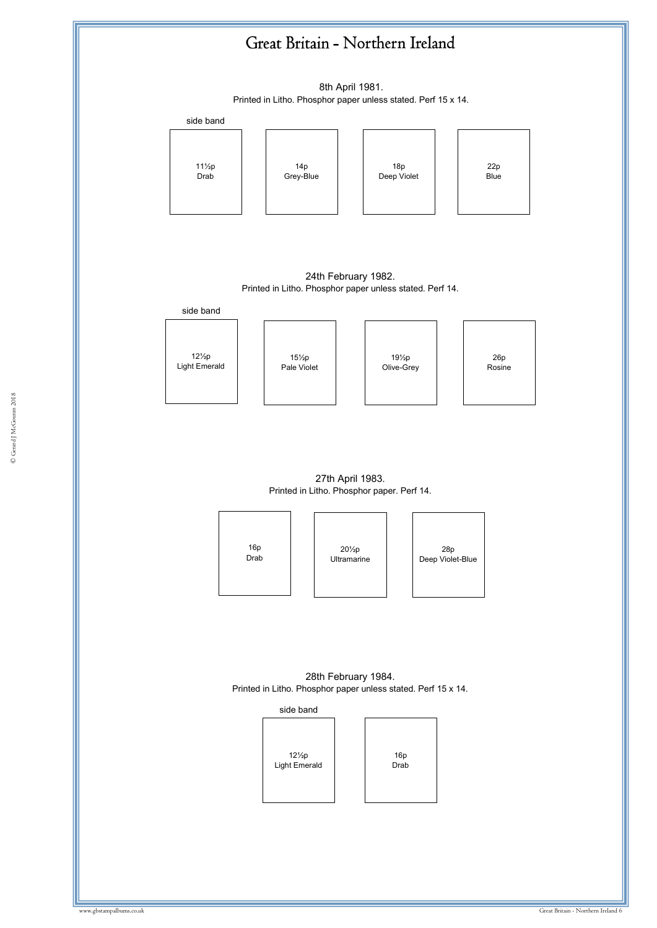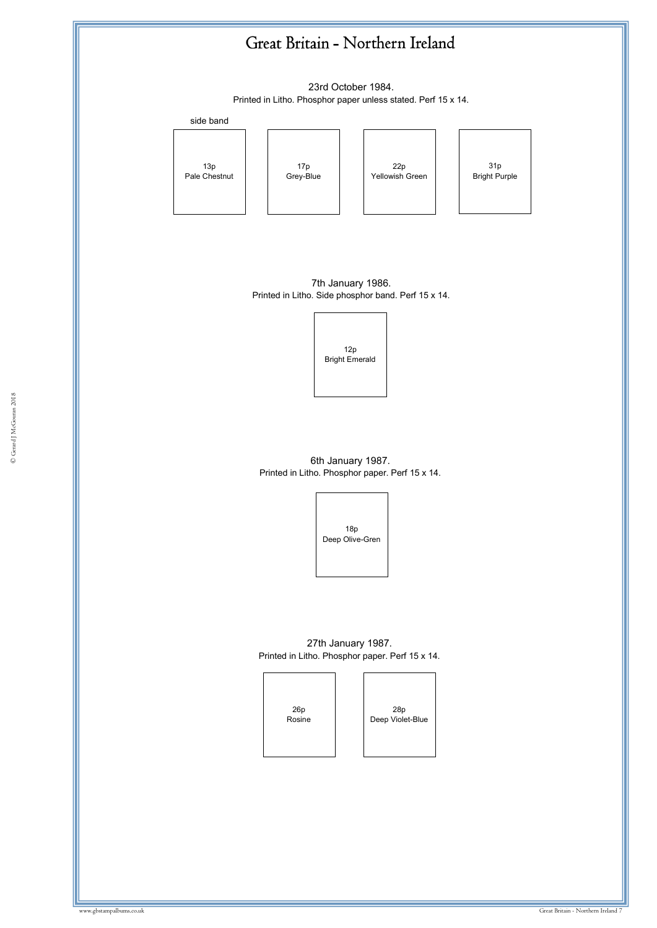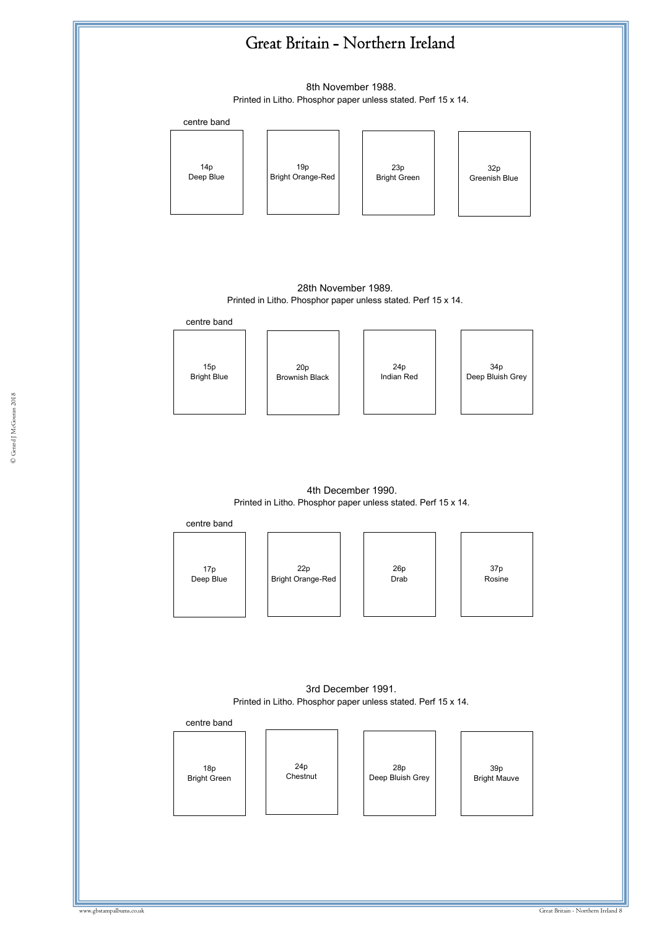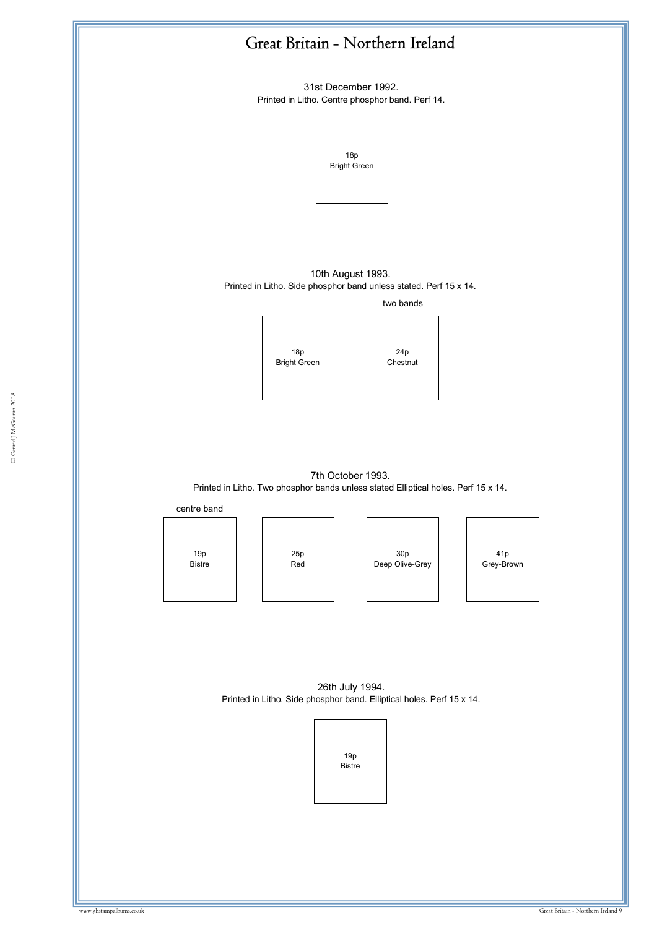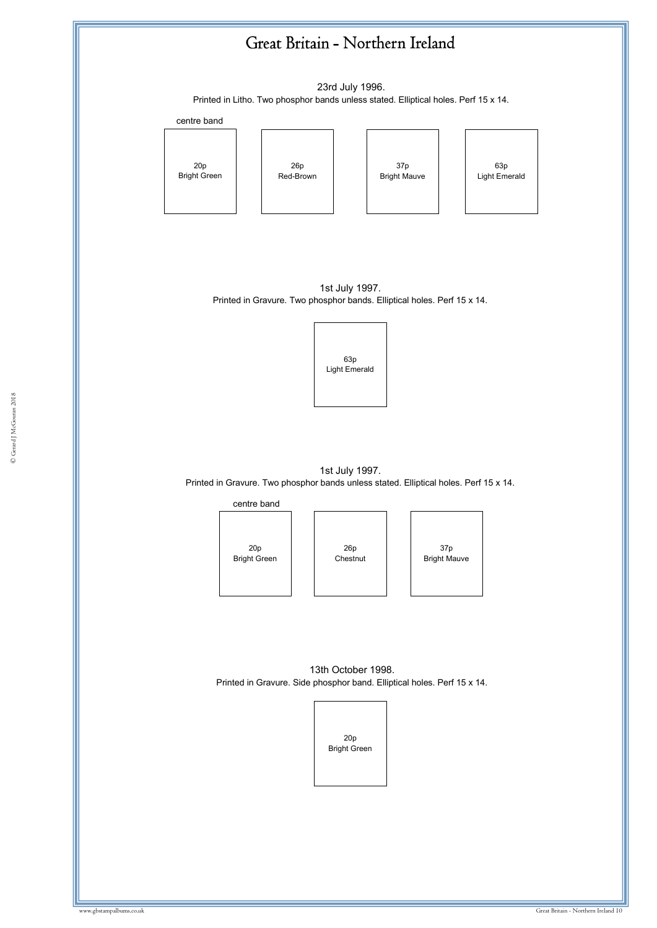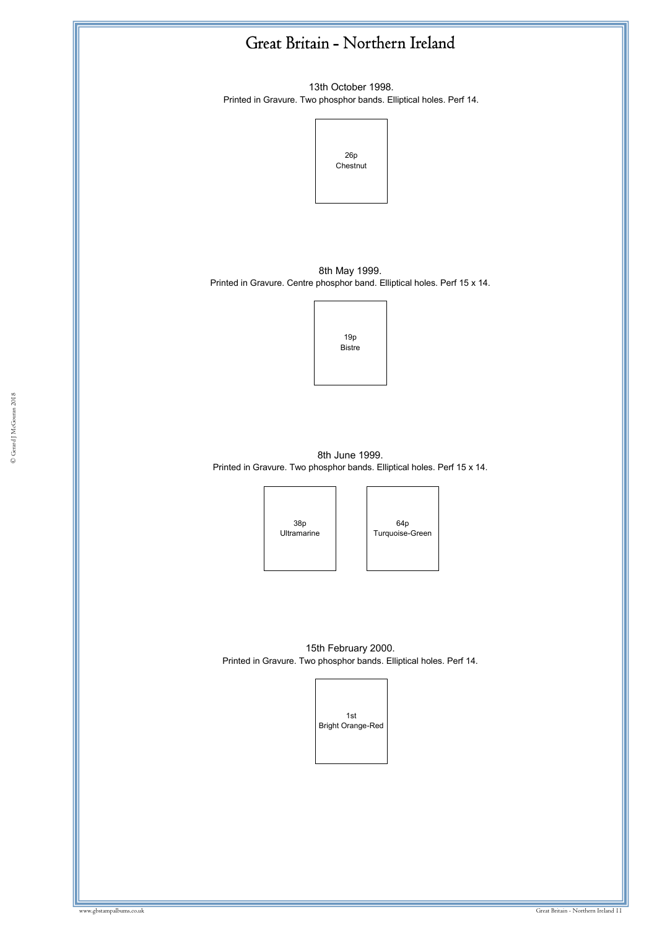13th October 1998. Printed in Gravure. Two phosphor bands. Elliptical holes. Perf 14.



8th May 1999. Printed in Gravure. Centre phosphor band. Elliptical holes. Perf 15 x 14.



 $\frac{94b}{1000}$ 8th June 1999. Printed in Gravure. Two phosphor bands. Elliptical holes. Perf 15 x 14.



64p Turquoise-Green

15th February 2000. Printed in Gravure. Two phosphor bands. Elliptical holes. Perf 14.

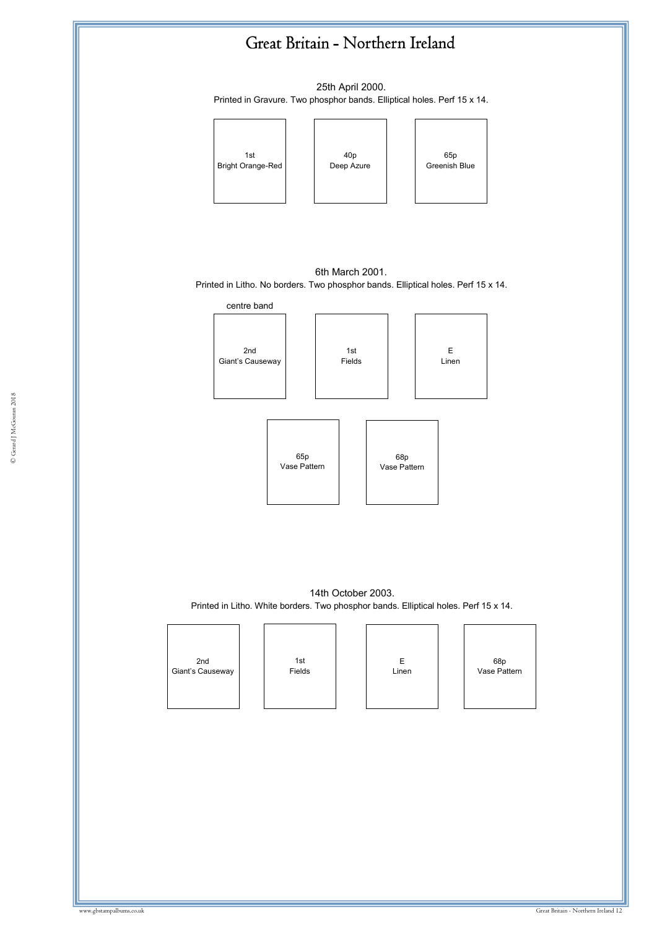25th April 2000. Printed in Gravure. Two phosphor bands. Elliptical holes. Perf 15 x 14.







14th October 2003. Printed in Litho. White borders. Two phosphor bands. Elliptical holes. Perf 15 x 14.

| 2nd              | 1st    | Ε     | 68p<br>Vase Pattern |
|------------------|--------|-------|---------------------|
| Giant's Causeway | Fields | Linen |                     |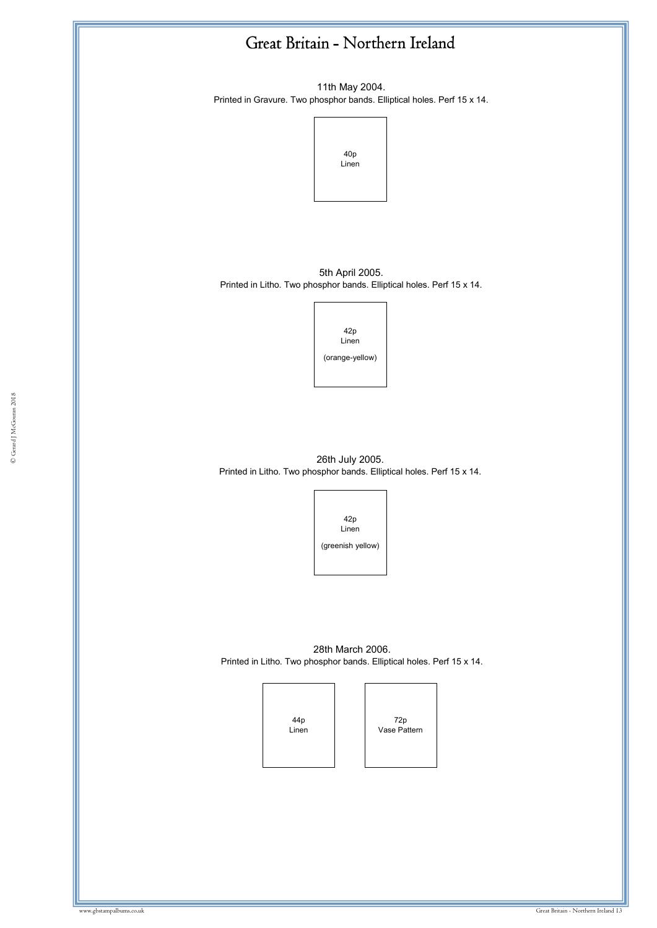11th May 2004. Printed in Gravure. Two phosphor bands. Elliptical holes. Perf 15 x 14.



5th April 2005. Printed in Litho. Two phosphor bands. Elliptical holes. Perf 15 x 14.



26th July 2005. Printed in Litho. Two phosphor bands. Elliptical holes. Perf 15 x 14.



28th March 2006. Printed in Litho. Two phosphor bands. Elliptical holes. Perf 15 x 14.

> 44p Linen

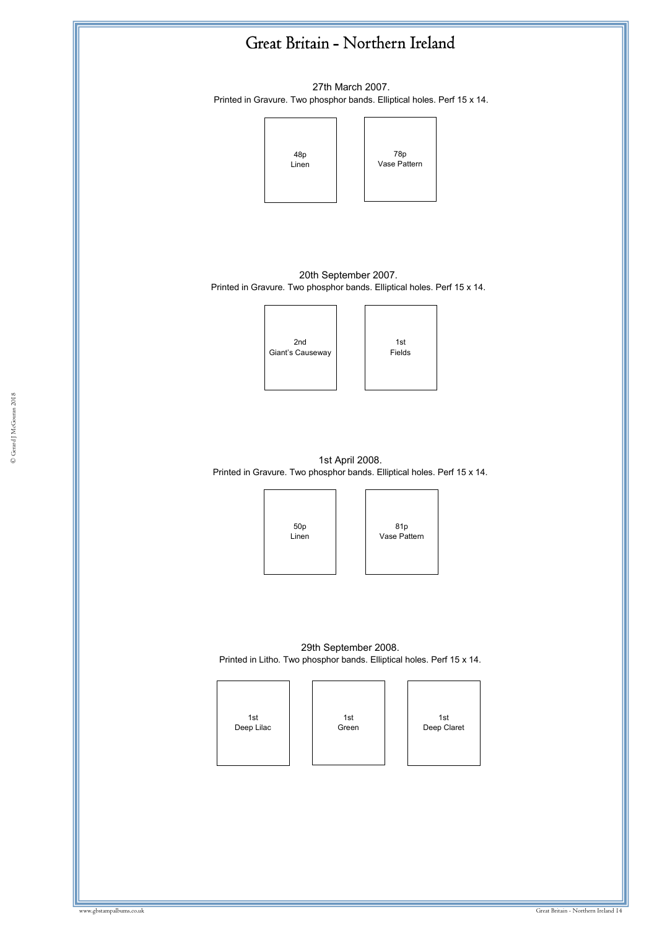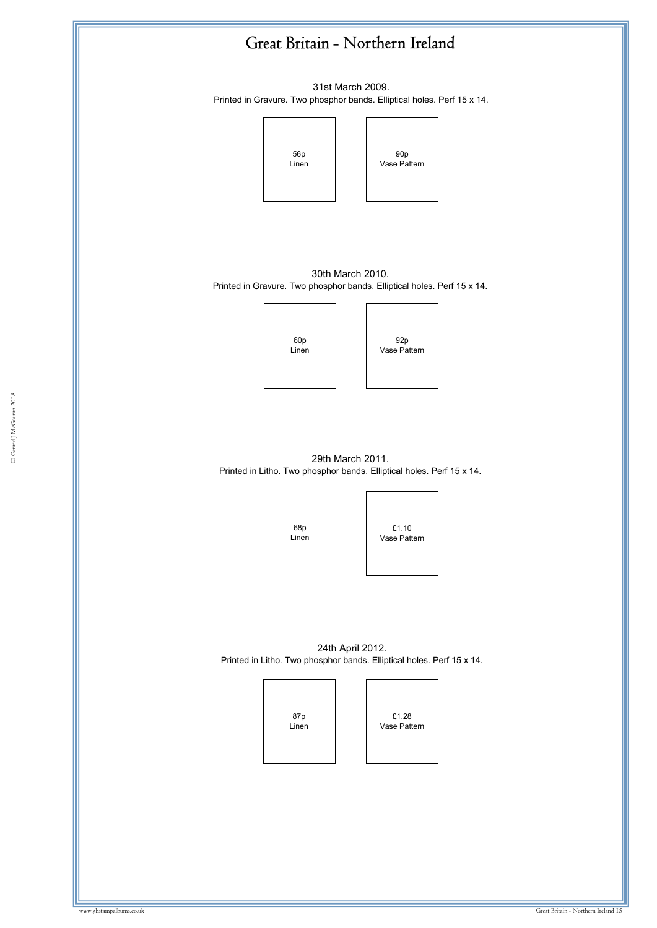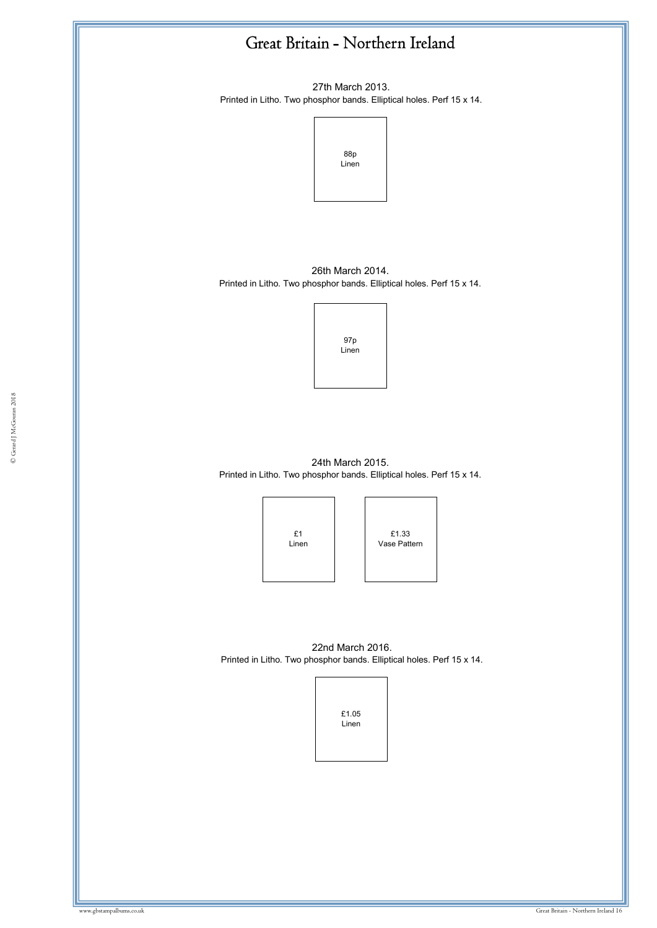27th March 2013. Printed in Litho. Two phosphor bands. Elliptical holes. Perf 15 x 14.



26th March 2014. Printed in Litho. Two phosphor bands. Elliptical holes. Perf 15 x 14.



24th March 2015. Printed in Litho. Two phosphor bands. Elliptical holes. Perf 15 x 14.

> £1 Linen

£1.33 Vase Pattern

22nd March 2016. Printed in Litho. Two phosphor bands. Elliptical holes. Perf 15 x 14.

| £1.05 |  |
|-------|--|
| Linen |  |
|       |  |
|       |  |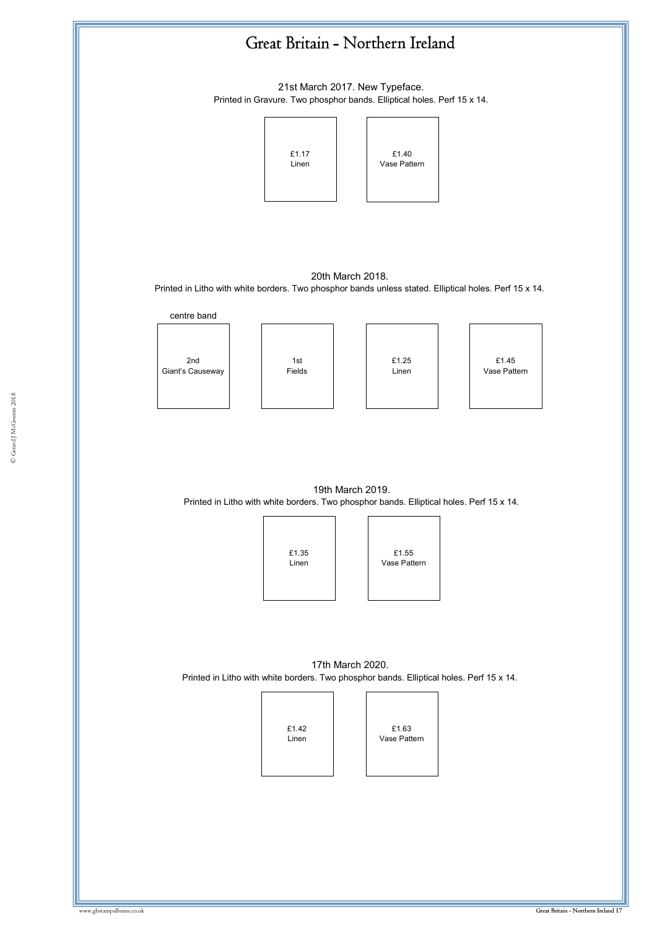

17th March 2020. Printed in Litho with white borders. Two phosphor bands. Elliptical holes. Perf 15 x 14.

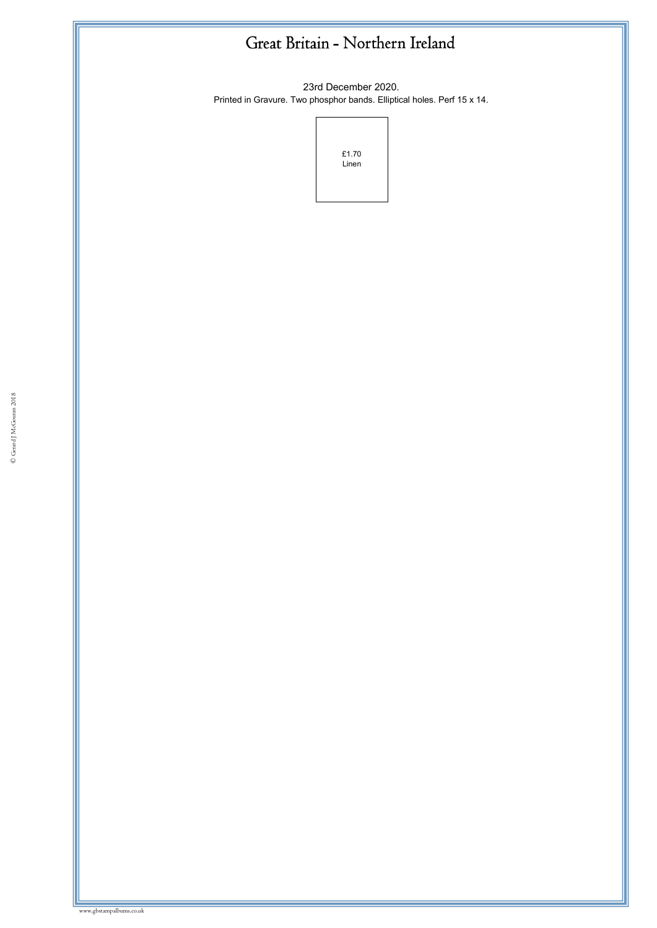23rd December 2020. Printed in Gravure. Two phosphor bands. Elliptical holes. Perf 15 x 14.



www.gbstampalbums.co.uk